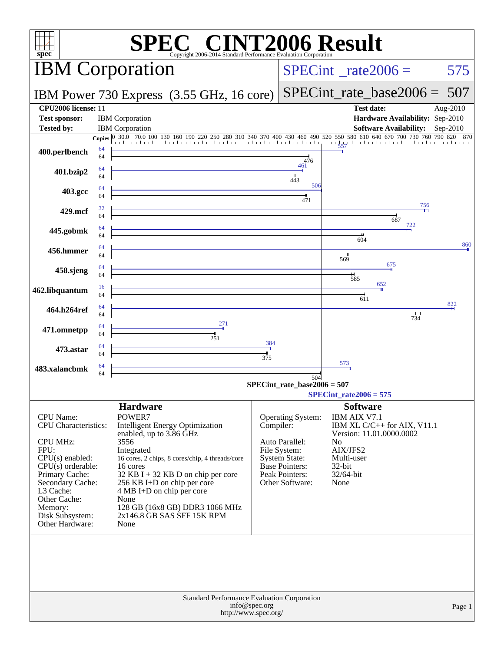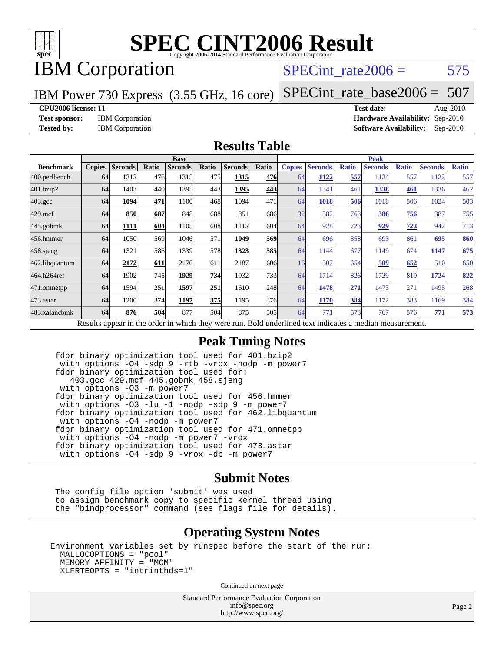

# IBM Corporation

### SPECint rate $2006 = 575$

IBM Power 730 Express (3.55 GHz, 16 core)

[SPECint\\_rate\\_base2006 =](http://www.spec.org/auto/cpu2006/Docs/result-fields.html#SPECintratebase2006) 507

**[CPU2006 license:](http://www.spec.org/auto/cpu2006/Docs/result-fields.html#CPU2006license)** 11 **[Test date:](http://www.spec.org/auto/cpu2006/Docs/result-fields.html#Testdate)** Aug-2010

**[Test sponsor:](http://www.spec.org/auto/cpu2006/Docs/result-fields.html#Testsponsor)** IBM Corporation **[Hardware Availability:](http://www.spec.org/auto/cpu2006/Docs/result-fields.html#HardwareAvailability)** Sep-2010 **[Tested by:](http://www.spec.org/auto/cpu2006/Docs/result-fields.html#Testedby)** IBM Corporation **[Software Availability:](http://www.spec.org/auto/cpu2006/Docs/result-fields.html#SoftwareAvailability)** Sep-2010

#### **[Results Table](http://www.spec.org/auto/cpu2006/Docs/result-fields.html#ResultsTable)**

|                                                                                                          | <b>Base</b>   |                |       |                |       |                | <b>Peak</b> |               |                |              |                |              |                |              |
|----------------------------------------------------------------------------------------------------------|---------------|----------------|-------|----------------|-------|----------------|-------------|---------------|----------------|--------------|----------------|--------------|----------------|--------------|
| <b>Benchmark</b>                                                                                         | <b>Copies</b> | <b>Seconds</b> | Ratio | <b>Seconds</b> | Ratio | <b>Seconds</b> | Ratio       | <b>Copies</b> | <b>Seconds</b> | <b>Ratio</b> | <b>Seconds</b> | <b>Ratio</b> | <b>Seconds</b> | <b>Ratio</b> |
| 400.perlbench                                                                                            | 64            | 1312           | 476   | 1315           | 475   | 1315           | 476         | 64            | 1122           | 557          | 1124           | 557          | 1122           | 557          |
| 401.bzip2                                                                                                | 64            | 1403           | 440   | 1395           | 443   | 1395           | 443         | 64            | 1341           | 461          | 1338           | 461          | 1336           | 462          |
| $403.\text{gcc}$                                                                                         | 64            | 1094           | 471   | 1100           | 468   | 1094           | 471         | 64            | 1018           | 506          | 1018           | 506          | 1024           | 503          |
| $429$ .mcf                                                                                               | 64            | 850            | 687   | 848            | 688   | 851            | 686         | 32            | 382            | 763          | 386            | 756          | 387            | 755          |
| $445$ .gobmk                                                                                             | 64            | 1111           | 604   | 1105           | 608   | 1112           | 604         | 64            | 928            | 723          | 929            | <u>722</u>   | 942            | 713          |
| 456.hmmer                                                                                                | 64            | 1050           | 569   | 1046           | 571   | 1049           | 569         | 64            | 696            | 858          | 693            | 861          | 695            | 860          |
| $458$ .sjeng                                                                                             | 64            | 1321           | 586   | 1339           | 578   | 1323           | 585         | 64            | 1144           | 677          | 1149           | 674          | 1147           | 675          |
| 462.libquantum                                                                                           | 64            | 2172           | 611   | 2170           | 611   | 2187           | 606         | 16            | 507            | 654          | 509            | 652          | 510            | 650          |
| 464.h264ref                                                                                              | 64            | 1902           | 745   | 1929           | 734   | 1932           | 733         | 64            | 1714           | 826          | 1729           | 819          | 1724           | 822          |
| 471.omnetpp                                                                                              | 64            | 1594           | 251   | 1597           | 251   | 1610           | 248         | 64            | 1478           | 271          | 1475           | 271          | 1495           | 268          |
| $473$ . astar                                                                                            | 64            | 1200           | 374   | 1197           | 375   | 1195           | 376         | 64            | 1170           | 384          | 1172           | 383          | 1169           | 384          |
| 483.xalancbmk                                                                                            | 64            | 876            | 504   | 877            | 504   | 875            | 505         | 64            | 771            | 573          | 767            | 576          | 771            | 573          |
| Results appear in the order in which they were run. Bold underlined text indicates a median measurement. |               |                |       |                |       |                |             |               |                |              |                |              |                |              |

#### **[Peak Tuning Notes](http://www.spec.org/auto/cpu2006/Docs/result-fields.html#PeakTuningNotes)**

 fdpr binary optimization tool used for 401.bzip2 with options -O4 -sdp 9 -rtb -vrox -nodp -m power7 fdpr binary optimization tool used for: 403.gcc 429.mcf 445.gobmk 458.sjeng with options -O3 -m power7 fdpr binary optimization tool used for 456.hmmer with options -O3 -lu -1 -nodp -sdp 9 -m power7 fdpr binary optimization tool used for 462.libquantum with options -O4 -nodp -m power7 fdpr binary optimization tool used for 471.omnetpp with options -O4 -nodp -m power7 -vrox fdpr binary optimization tool used for 473.astar with options -O4 -sdp 9 -vrox -dp -m power7

#### **[Submit Notes](http://www.spec.org/auto/cpu2006/Docs/result-fields.html#SubmitNotes)**

 The config file option 'submit' was used to assign benchmark copy to specific kernel thread using the "bindprocessor" command (see flags file for details).

#### **[Operating System Notes](http://www.spec.org/auto/cpu2006/Docs/result-fields.html#OperatingSystemNotes)**

Environment variables set by runspec before the start of the run: MALLOCOPTIONS = "pool" MEMORY\_AFFINITY = "MCM" XLFRTEOPTS = "intrinthds=1"

Continued on next page

Standard Performance Evaluation Corporation [info@spec.org](mailto:info@spec.org) <http://www.spec.org/>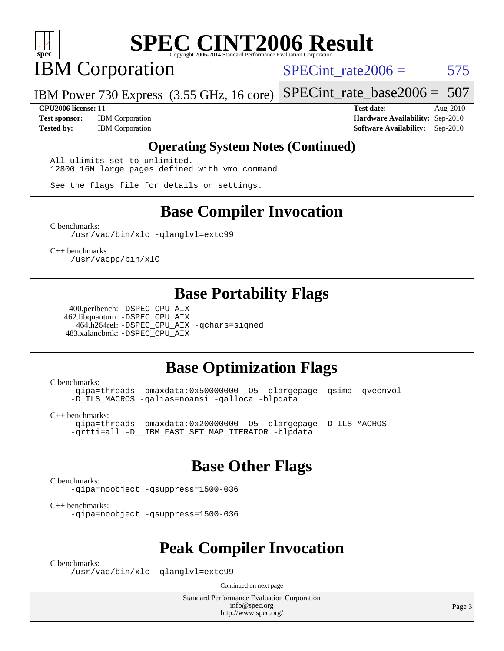

IBM Corporation

SPECint rate $2006 = 575$ 

IBM Power 730 Express (3.55 GHz, 16 core) [SPECint\\_rate\\_base2006 =](http://www.spec.org/auto/cpu2006/Docs/result-fields.html#SPECintratebase2006) 507

**[CPU2006 license:](http://www.spec.org/auto/cpu2006/Docs/result-fields.html#CPU2006license)** 11 **[Test date:](http://www.spec.org/auto/cpu2006/Docs/result-fields.html#Testdate)** Aug-2010 **[Test sponsor:](http://www.spec.org/auto/cpu2006/Docs/result-fields.html#Testsponsor)** IBM Corporation **[Hardware Availability:](http://www.spec.org/auto/cpu2006/Docs/result-fields.html#HardwareAvailability)** Sep-2010 **[Tested by:](http://www.spec.org/auto/cpu2006/Docs/result-fields.html#Testedby)** IBM Corporation **[Software Availability:](http://www.spec.org/auto/cpu2006/Docs/result-fields.html#SoftwareAvailability)** Sep-2010

#### **[Operating System Notes \(Continued\)](http://www.spec.org/auto/cpu2006/Docs/result-fields.html#OperatingSystemNotes)**

All ulimits set to unlimited. 12800 16M large pages defined with vmo command

See the flags file for details on settings.

### **[Base Compiler Invocation](http://www.spec.org/auto/cpu2006/Docs/result-fields.html#BaseCompilerInvocation)**

[C benchmarks](http://www.spec.org/auto/cpu2006/Docs/result-fields.html#Cbenchmarks):

[/usr/vac/bin/xlc](http://www.spec.org/cpu2006/results/res2010q3/cpu2006-20100817-12969.flags.html#user_CCbase_xlc_65f0db84ba48bcd0ca5f8f08bd8e83b9) [-qlanglvl=extc99](http://www.spec.org/cpu2006/results/res2010q3/cpu2006-20100817-12969.flags.html#user_CCbase_F-qlanglvl:extc99)

[C++ benchmarks:](http://www.spec.org/auto/cpu2006/Docs/result-fields.html#CXXbenchmarks) [/usr/vacpp/bin/xlC](http://www.spec.org/cpu2006/results/res2010q3/cpu2006-20100817-12969.flags.html#user_CXXbase_xlC_71b0a4ef5ef679d5dfc4910648efff67)

### **[Base Portability Flags](http://www.spec.org/auto/cpu2006/Docs/result-fields.html#BasePortabilityFlags)**

 400.perlbench: [-DSPEC\\_CPU\\_AIX](http://www.spec.org/cpu2006/results/res2010q3/cpu2006-20100817-12969.flags.html#b400.perlbench_baseCPORTABILITY_DSPEC_CPU_AIX) 462.libquantum: [-DSPEC\\_CPU\\_AIX](http://www.spec.org/cpu2006/results/res2010q3/cpu2006-20100817-12969.flags.html#b462.libquantum_baseCPORTABILITY_DSPEC_CPU_AIX) 464.h264ref: [-DSPEC\\_CPU\\_AIX](http://www.spec.org/cpu2006/results/res2010q3/cpu2006-20100817-12969.flags.html#b464.h264ref_baseCPORTABILITY_DSPEC_CPU_AIX) [-qchars=signed](http://www.spec.org/cpu2006/results/res2010q3/cpu2006-20100817-12969.flags.html#user_baseCPORTABILITY464_h264ref_F-qchars:signed) 483.xalancbmk: [-DSPEC\\_CPU\\_AIX](http://www.spec.org/cpu2006/results/res2010q3/cpu2006-20100817-12969.flags.html#b483.xalancbmk_baseCXXPORTABILITY_DSPEC_CPU_AIX)

## **[Base Optimization Flags](http://www.spec.org/auto/cpu2006/Docs/result-fields.html#BaseOptimizationFlags)**

[C benchmarks](http://www.spec.org/auto/cpu2006/Docs/result-fields.html#Cbenchmarks):

[-qipa=threads](http://www.spec.org/cpu2006/results/res2010q3/cpu2006-20100817-12969.flags.html#user_CCbase_F-qipa:threads_603896b7ba2615a272e7bb50a99fbe27) [-bmaxdata:0x50000000](http://www.spec.org/cpu2006/results/res2010q3/cpu2006-20100817-12969.flags.html#user_CCbase_F-bmaxdata_e939c1e3ce194adb74b865c7e0f9aa8a) [-O5](http://www.spec.org/cpu2006/results/res2010q3/cpu2006-20100817-12969.flags.html#user_CCbase_F-O5_c247b43c34dbf7164d22e1dc7d84032c) [-qlargepage](http://www.spec.org/cpu2006/results/res2010q3/cpu2006-20100817-12969.flags.html#user_CCbase_F-qlargepage) [-qsimd](http://www.spec.org/cpu2006/results/res2010q3/cpu2006-20100817-12969.flags.html#user_CCbase_F-qsimd_a8e99c5325f711308b07d2b72634c9bd) [-qvecnvol](http://www.spec.org/cpu2006/results/res2010q3/cpu2006-20100817-12969.flags.html#user_CCbase_F-qvecnvol) [-D\\_ILS\\_MACROS](http://www.spec.org/cpu2006/results/res2010q3/cpu2006-20100817-12969.flags.html#user_CCbase_F-D_ILS_MACROS) [-qalias=noansi](http://www.spec.org/cpu2006/results/res2010q3/cpu2006-20100817-12969.flags.html#user_CCbase_F-qalias_d4651b1508cf3a15da259e82b527180c) [-qalloca](http://www.spec.org/cpu2006/results/res2010q3/cpu2006-20100817-12969.flags.html#user_CCbase_F-qalloca) [-blpdata](http://www.spec.org/cpu2006/results/res2010q3/cpu2006-20100817-12969.flags.html#user_CCbase_F-blpdata)

[C++ benchmarks:](http://www.spec.org/auto/cpu2006/Docs/result-fields.html#CXXbenchmarks)

[-qipa=threads](http://www.spec.org/cpu2006/results/res2010q3/cpu2006-20100817-12969.flags.html#user_CXXbase_F-qipa:threads_603896b7ba2615a272e7bb50a99fbe27) [-bmaxdata:0x20000000](http://www.spec.org/cpu2006/results/res2010q3/cpu2006-20100817-12969.flags.html#user_CXXbase_F-bmaxdata_d044a9072ff4d8b4577a1555c18c0756) [-O5](http://www.spec.org/cpu2006/results/res2010q3/cpu2006-20100817-12969.flags.html#user_CXXbase_F-O5_c247b43c34dbf7164d22e1dc7d84032c) [-qlargepage](http://www.spec.org/cpu2006/results/res2010q3/cpu2006-20100817-12969.flags.html#user_CXXbase_F-qlargepage) [-D\\_ILS\\_MACROS](http://www.spec.org/cpu2006/results/res2010q3/cpu2006-20100817-12969.flags.html#user_CXXbase_F-D_ILS_MACROS) [-qrtti=all](http://www.spec.org/cpu2006/results/res2010q3/cpu2006-20100817-12969.flags.html#user_CXXbase_F-qrtti:all) [-D\\_\\_IBM\\_FAST\\_SET\\_MAP\\_ITERATOR](http://www.spec.org/cpu2006/results/res2010q3/cpu2006-20100817-12969.flags.html#user_CXXbase_F-D__IBM_FAST_SET_MAP_ITERATOR) [-blpdata](http://www.spec.org/cpu2006/results/res2010q3/cpu2006-20100817-12969.flags.html#user_CXXbase_F-blpdata)

### **[Base Other Flags](http://www.spec.org/auto/cpu2006/Docs/result-fields.html#BaseOtherFlags)**

[C benchmarks](http://www.spec.org/auto/cpu2006/Docs/result-fields.html#Cbenchmarks):

[-qipa=noobject](http://www.spec.org/cpu2006/results/res2010q3/cpu2006-20100817-12969.flags.html#user_CCbase_F-qipa:noobject_31d1c31721dc68bbebcc4af4e4e5db81) [-qsuppress=1500-036](http://www.spec.org/cpu2006/results/res2010q3/cpu2006-20100817-12969.flags.html#user_CCbase_F-qsuppress:_a26be8fef57dc56862d3797b725f60c7)

[C++ benchmarks:](http://www.spec.org/auto/cpu2006/Docs/result-fields.html#CXXbenchmarks)

[-qipa=noobject](http://www.spec.org/cpu2006/results/res2010q3/cpu2006-20100817-12969.flags.html#user_CXXbase_F-qipa:noobject_31d1c31721dc68bbebcc4af4e4e5db81) [-qsuppress=1500-036](http://www.spec.org/cpu2006/results/res2010q3/cpu2006-20100817-12969.flags.html#user_CXXbase_F-qsuppress:_a26be8fef57dc56862d3797b725f60c7)

### **[Peak Compiler Invocation](http://www.spec.org/auto/cpu2006/Docs/result-fields.html#PeakCompilerInvocation)**

[C benchmarks](http://www.spec.org/auto/cpu2006/Docs/result-fields.html#Cbenchmarks):

[/usr/vac/bin/xlc](http://www.spec.org/cpu2006/results/res2010q3/cpu2006-20100817-12969.flags.html#user_CCpeak_xlc_65f0db84ba48bcd0ca5f8f08bd8e83b9) [-qlanglvl=extc99](http://www.spec.org/cpu2006/results/res2010q3/cpu2006-20100817-12969.flags.html#user_CCpeak_F-qlanglvl:extc99)

Continued on next page

Standard Performance Evaluation Corporation [info@spec.org](mailto:info@spec.org) <http://www.spec.org/>

Page 3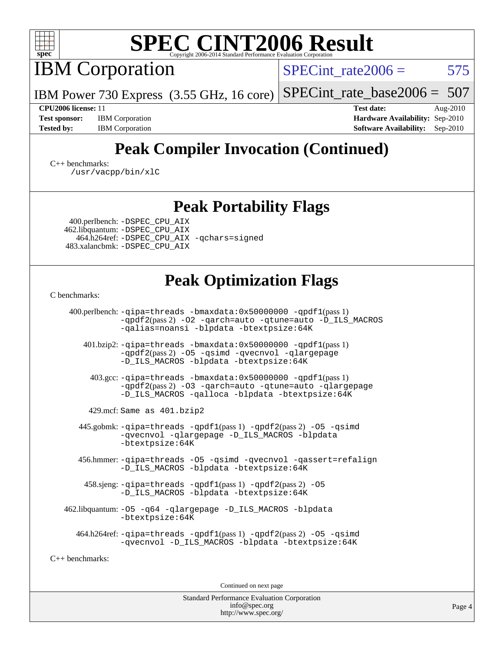

IBM Corporation

SPECint rate $2006 = 575$ 

[SPECint\\_rate\\_base2006 =](http://www.spec.org/auto/cpu2006/Docs/result-fields.html#SPECintratebase2006) 507

**[Test sponsor:](http://www.spec.org/auto/cpu2006/Docs/result-fields.html#Testsponsor)** IBM Corporation **[Hardware Availability:](http://www.spec.org/auto/cpu2006/Docs/result-fields.html#HardwareAvailability)** Sep-2010

**[CPU2006 license:](http://www.spec.org/auto/cpu2006/Docs/result-fields.html#CPU2006license)** 11 **[Test date:](http://www.spec.org/auto/cpu2006/Docs/result-fields.html#Testdate)** Aug-2010 [Tested by:](http://www.spec.org/auto/cpu2006/Docs/result-fields.html#Testedby) IBM Corporation **[Software Availability:](http://www.spec.org/auto/cpu2006/Docs/result-fields.html#SoftwareAvailability)** Sep-2010

# **[Peak Compiler Invocation \(Continued\)](http://www.spec.org/auto/cpu2006/Docs/result-fields.html#PeakCompilerInvocation)**

[C++ benchmarks:](http://www.spec.org/auto/cpu2006/Docs/result-fields.html#CXXbenchmarks) [/usr/vacpp/bin/xlC](http://www.spec.org/cpu2006/results/res2010q3/cpu2006-20100817-12969.flags.html#user_CXXpeak_xlC_71b0a4ef5ef679d5dfc4910648efff67)

### **[Peak Portability Flags](http://www.spec.org/auto/cpu2006/Docs/result-fields.html#PeakPortabilityFlags)**

 400.perlbench: [-DSPEC\\_CPU\\_AIX](http://www.spec.org/cpu2006/results/res2010q3/cpu2006-20100817-12969.flags.html#b400.perlbench_peakCPORTABILITY_DSPEC_CPU_AIX) 462.libquantum: [-DSPEC\\_CPU\\_AIX](http://www.spec.org/cpu2006/results/res2010q3/cpu2006-20100817-12969.flags.html#b462.libquantum_peakCPORTABILITY_DSPEC_CPU_AIX) 464.h264ref: [-DSPEC\\_CPU\\_AIX](http://www.spec.org/cpu2006/results/res2010q3/cpu2006-20100817-12969.flags.html#b464.h264ref_peakCPORTABILITY_DSPEC_CPU_AIX) [-qchars=signed](http://www.spec.org/cpu2006/results/res2010q3/cpu2006-20100817-12969.flags.html#user_peakCPORTABILITY464_h264ref_F-qchars:signed) 483.xalancbmk: [-DSPEC\\_CPU\\_AIX](http://www.spec.org/cpu2006/results/res2010q3/cpu2006-20100817-12969.flags.html#b483.xalancbmk_peakCXXPORTABILITY_DSPEC_CPU_AIX)

IBM Power 730 Express (3.55 GHz, 16 core)

# **[Peak Optimization Flags](http://www.spec.org/auto/cpu2006/Docs/result-fields.html#PeakOptimizationFlags)**

[C benchmarks](http://www.spec.org/auto/cpu2006/Docs/result-fields.html#Cbenchmarks):

 400.perlbench: [-qipa=threads](http://www.spec.org/cpu2006/results/res2010q3/cpu2006-20100817-12969.flags.html#user_peakLDCFLAGS400_perlbench_F-qipa:threads_603896b7ba2615a272e7bb50a99fbe27) [-bmaxdata:0x50000000](http://www.spec.org/cpu2006/results/res2010q3/cpu2006-20100817-12969.flags.html#user_peakLDCFLAGS400_perlbench_F-bmaxdata_e939c1e3ce194adb74b865c7e0f9aa8a) [-qpdf1](http://www.spec.org/cpu2006/results/res2010q3/cpu2006-20100817-12969.flags.html#user_peakPASS1_CFLAGSPASS1_LDFLAGS400_perlbench_F-qpdf1)(pass 1) [-qpdf2](http://www.spec.org/cpu2006/results/res2010q3/cpu2006-20100817-12969.flags.html#user_peakPASS2_CFLAGSPASS2_LDFLAGS400_perlbench_F-qpdf2)(pass 2) [-O2](http://www.spec.org/cpu2006/results/res2010q3/cpu2006-20100817-12969.flags.html#user_peakOPTIMIZE400_perlbench_F-O2) [-qarch=auto](http://www.spec.org/cpu2006/results/res2010q3/cpu2006-20100817-12969.flags.html#user_peakOPTIMIZE400_perlbench_F-qarch_da57dfb59486beae658049400584956b) [-qtune=auto](http://www.spec.org/cpu2006/results/res2010q3/cpu2006-20100817-12969.flags.html#user_peakOPTIMIZE400_perlbench_F-qtune_2e3c53070484f255b4b77752b917d502) [-D\\_ILS\\_MACROS](http://www.spec.org/cpu2006/results/res2010q3/cpu2006-20100817-12969.flags.html#user_peakCOPTIMIZE400_perlbench_F-D_ILS_MACROS) [-qalias=noansi](http://www.spec.org/cpu2006/results/res2010q3/cpu2006-20100817-12969.flags.html#user_peakCOPTIMIZE400_perlbench_F-qalias_d4651b1508cf3a15da259e82b527180c) [-blpdata](http://www.spec.org/cpu2006/results/res2010q3/cpu2006-20100817-12969.flags.html#user_peakEXTRA_LDFLAGS400_perlbench_F-blpdata) [-btextpsize:64K](http://www.spec.org/cpu2006/results/res2010q3/cpu2006-20100817-12969.flags.html#user_peakEXTRA_LDFLAGS400_perlbench_F-btextpsize_915b2570bf0baabb03f1065583f9faaf)

 401.bzip2: [-qipa=threads](http://www.spec.org/cpu2006/results/res2010q3/cpu2006-20100817-12969.flags.html#user_peakLDCFLAGS401_bzip2_F-qipa:threads_603896b7ba2615a272e7bb50a99fbe27) [-bmaxdata:0x50000000](http://www.spec.org/cpu2006/results/res2010q3/cpu2006-20100817-12969.flags.html#user_peakLDCFLAGS401_bzip2_F-bmaxdata_e939c1e3ce194adb74b865c7e0f9aa8a) [-qpdf1](http://www.spec.org/cpu2006/results/res2010q3/cpu2006-20100817-12969.flags.html#user_peakPASS1_CFLAGSPASS1_LDFLAGS401_bzip2_F-qpdf1)(pass 1) [-qpdf2](http://www.spec.org/cpu2006/results/res2010q3/cpu2006-20100817-12969.flags.html#user_peakPASS2_CFLAGSPASS2_LDFLAGS401_bzip2_F-qpdf2)(pass 2) [-O5](http://www.spec.org/cpu2006/results/res2010q3/cpu2006-20100817-12969.flags.html#user_peakOPTIMIZE401_bzip2_F-O5_c247b43c34dbf7164d22e1dc7d84032c) [-qsimd](http://www.spec.org/cpu2006/results/res2010q3/cpu2006-20100817-12969.flags.html#user_peakOPTIMIZE401_bzip2_F-qsimd_a8e99c5325f711308b07d2b72634c9bd) [-qvecnvol](http://www.spec.org/cpu2006/results/res2010q3/cpu2006-20100817-12969.flags.html#user_peakOPTIMIZE401_bzip2_F-qvecnvol) [-qlargepage](http://www.spec.org/cpu2006/results/res2010q3/cpu2006-20100817-12969.flags.html#user_peakOPTIMIZE401_bzip2_F-qlargepage) [-D\\_ILS\\_MACROS](http://www.spec.org/cpu2006/results/res2010q3/cpu2006-20100817-12969.flags.html#user_peakCOPTIMIZE401_bzip2_F-D_ILS_MACROS) [-blpdata](http://www.spec.org/cpu2006/results/res2010q3/cpu2006-20100817-12969.flags.html#user_peakEXTRA_LDFLAGS401_bzip2_F-blpdata) [-btextpsize:64K](http://www.spec.org/cpu2006/results/res2010q3/cpu2006-20100817-12969.flags.html#user_peakEXTRA_LDFLAGS401_bzip2_F-btextpsize_915b2570bf0baabb03f1065583f9faaf)

 403.gcc: [-qipa=threads](http://www.spec.org/cpu2006/results/res2010q3/cpu2006-20100817-12969.flags.html#user_peakLDCFLAGS403_gcc_F-qipa:threads_603896b7ba2615a272e7bb50a99fbe27) [-bmaxdata:0x50000000](http://www.spec.org/cpu2006/results/res2010q3/cpu2006-20100817-12969.flags.html#user_peakLDCFLAGS403_gcc_F-bmaxdata_e939c1e3ce194adb74b865c7e0f9aa8a) [-qpdf1](http://www.spec.org/cpu2006/results/res2010q3/cpu2006-20100817-12969.flags.html#user_peakPASS1_CFLAGSPASS1_LDFLAGS403_gcc_F-qpdf1)(pass 1) [-qpdf2](http://www.spec.org/cpu2006/results/res2010q3/cpu2006-20100817-12969.flags.html#user_peakPASS2_CFLAGSPASS2_LDFLAGS403_gcc_F-qpdf2)(pass 2) [-O3](http://www.spec.org/cpu2006/results/res2010q3/cpu2006-20100817-12969.flags.html#user_peakOPTIMIZE403_gcc_F-O3) [-qarch=auto](http://www.spec.org/cpu2006/results/res2010q3/cpu2006-20100817-12969.flags.html#user_peakOPTIMIZE403_gcc_F-qarch_da57dfb59486beae658049400584956b) [-qtune=auto](http://www.spec.org/cpu2006/results/res2010q3/cpu2006-20100817-12969.flags.html#user_peakOPTIMIZE403_gcc_F-qtune_2e3c53070484f255b4b77752b917d502) [-qlargepage](http://www.spec.org/cpu2006/results/res2010q3/cpu2006-20100817-12969.flags.html#user_peakOPTIMIZE403_gcc_F-qlargepage) [-D\\_ILS\\_MACROS](http://www.spec.org/cpu2006/results/res2010q3/cpu2006-20100817-12969.flags.html#user_peakCOPTIMIZE403_gcc_F-D_ILS_MACROS) [-qalloca](http://www.spec.org/cpu2006/results/res2010q3/cpu2006-20100817-12969.flags.html#user_peakCOPTIMIZE403_gcc_F-qalloca) [-blpdata](http://www.spec.org/cpu2006/results/res2010q3/cpu2006-20100817-12969.flags.html#user_peakEXTRA_LDFLAGS403_gcc_F-blpdata) [-btextpsize:64K](http://www.spec.org/cpu2006/results/res2010q3/cpu2006-20100817-12969.flags.html#user_peakEXTRA_LDFLAGS403_gcc_F-btextpsize_915b2570bf0baabb03f1065583f9faaf)

429.mcf: Same as 401.bzip2

445.gobmk:  $-qipa$ =threads  $-qpdf1(pass 1)$  $-qpdf1(pass 1)$  [-qpdf2](http://www.spec.org/cpu2006/results/res2010q3/cpu2006-20100817-12969.flags.html#user_peakPASS2_CFLAGSPASS2_LDFLAGS445_gobmk_F-qpdf2)(pass 2) -05 [-qsimd](http://www.spec.org/cpu2006/results/res2010q3/cpu2006-20100817-12969.flags.html#user_peakOPTIMIZE445_gobmk_F-qsimd_a8e99c5325f711308b07d2b72634c9bd) [-qvecnvol](http://www.spec.org/cpu2006/results/res2010q3/cpu2006-20100817-12969.flags.html#user_peakOPTIMIZE445_gobmk_F-qvecnvol) [-qlargepage](http://www.spec.org/cpu2006/results/res2010q3/cpu2006-20100817-12969.flags.html#user_peakOPTIMIZE445_gobmk_F-qlargepage) [-D\\_ILS\\_MACROS](http://www.spec.org/cpu2006/results/res2010q3/cpu2006-20100817-12969.flags.html#user_peakCOPTIMIZE445_gobmk_F-D_ILS_MACROS) [-blpdata](http://www.spec.org/cpu2006/results/res2010q3/cpu2006-20100817-12969.flags.html#user_peakEXTRA_LDFLAGS445_gobmk_F-blpdata) [-btextpsize:64K](http://www.spec.org/cpu2006/results/res2010q3/cpu2006-20100817-12969.flags.html#user_peakEXTRA_LDFLAGS445_gobmk_F-btextpsize_915b2570bf0baabb03f1065583f9faaf)

 456.hmmer: [-qipa=threads](http://www.spec.org/cpu2006/results/res2010q3/cpu2006-20100817-12969.flags.html#user_peakLDCFLAGS456_hmmer_F-qipa:threads_603896b7ba2615a272e7bb50a99fbe27) [-O5](http://www.spec.org/cpu2006/results/res2010q3/cpu2006-20100817-12969.flags.html#user_peakOPTIMIZE456_hmmer_F-O5_c247b43c34dbf7164d22e1dc7d84032c) [-qsimd](http://www.spec.org/cpu2006/results/res2010q3/cpu2006-20100817-12969.flags.html#user_peakOPTIMIZE456_hmmer_F-qsimd_a8e99c5325f711308b07d2b72634c9bd) [-qvecnvol](http://www.spec.org/cpu2006/results/res2010q3/cpu2006-20100817-12969.flags.html#user_peakOPTIMIZE456_hmmer_F-qvecnvol) [-qassert=refalign](http://www.spec.org/cpu2006/results/res2010q3/cpu2006-20100817-12969.flags.html#user_peakOPTIMIZE456_hmmer_F-qassert_3a98aa7c946e46b18a8aedd58e121a56) [-D\\_ILS\\_MACROS](http://www.spec.org/cpu2006/results/res2010q3/cpu2006-20100817-12969.flags.html#user_peakCOPTIMIZE456_hmmer_F-D_ILS_MACROS) [-blpdata](http://www.spec.org/cpu2006/results/res2010q3/cpu2006-20100817-12969.flags.html#user_peakEXTRA_LDFLAGS456_hmmer_F-blpdata) [-btextpsize:64K](http://www.spec.org/cpu2006/results/res2010q3/cpu2006-20100817-12969.flags.html#user_peakEXTRA_LDFLAGS456_hmmer_F-btextpsize_915b2570bf0baabb03f1065583f9faaf)

 458.sjeng: [-qipa=threads](http://www.spec.org/cpu2006/results/res2010q3/cpu2006-20100817-12969.flags.html#user_peakLDCFLAGS458_sjeng_F-qipa:threads_603896b7ba2615a272e7bb50a99fbe27) [-qpdf1](http://www.spec.org/cpu2006/results/res2010q3/cpu2006-20100817-12969.flags.html#user_peakPASS1_CFLAGSPASS1_LDFLAGS458_sjeng_F-qpdf1)(pass 1) [-qpdf2](http://www.spec.org/cpu2006/results/res2010q3/cpu2006-20100817-12969.flags.html#user_peakPASS2_CFLAGSPASS2_LDFLAGS458_sjeng_F-qpdf2)(pass 2) [-O5](http://www.spec.org/cpu2006/results/res2010q3/cpu2006-20100817-12969.flags.html#user_peakOPTIMIZE458_sjeng_F-O5_c247b43c34dbf7164d22e1dc7d84032c) [-D\\_ILS\\_MACROS](http://www.spec.org/cpu2006/results/res2010q3/cpu2006-20100817-12969.flags.html#user_peakCOPTIMIZE458_sjeng_F-D_ILS_MACROS) [-blpdata](http://www.spec.org/cpu2006/results/res2010q3/cpu2006-20100817-12969.flags.html#user_peakEXTRA_LDFLAGS458_sjeng_F-blpdata) [-btextpsize:64K](http://www.spec.org/cpu2006/results/res2010q3/cpu2006-20100817-12969.flags.html#user_peakEXTRA_LDFLAGS458_sjeng_F-btextpsize_915b2570bf0baabb03f1065583f9faaf)

 462.libquantum: [-O5](http://www.spec.org/cpu2006/results/res2010q3/cpu2006-20100817-12969.flags.html#user_peakOPTIMIZE462_libquantum_F-O5_c247b43c34dbf7164d22e1dc7d84032c) [-q64](http://www.spec.org/cpu2006/results/res2010q3/cpu2006-20100817-12969.flags.html#user_peakOPTIMIZE462_libquantum_F-q64_9628b1d4daa2edab256594f47440ad56) [-qlargepage](http://www.spec.org/cpu2006/results/res2010q3/cpu2006-20100817-12969.flags.html#user_peakOPTIMIZE462_libquantum_F-qlargepage) [-D\\_ILS\\_MACROS](http://www.spec.org/cpu2006/results/res2010q3/cpu2006-20100817-12969.flags.html#user_peakCOPTIMIZE462_libquantum_F-D_ILS_MACROS) [-blpdata](http://www.spec.org/cpu2006/results/res2010q3/cpu2006-20100817-12969.flags.html#user_peakEXTRA_LDFLAGS462_libquantum_F-blpdata) [-btextpsize:64K](http://www.spec.org/cpu2006/results/res2010q3/cpu2006-20100817-12969.flags.html#user_peakEXTRA_LDFLAGS462_libquantum_F-btextpsize_915b2570bf0baabb03f1065583f9faaf)

 464.h264ref: [-qipa=threads](http://www.spec.org/cpu2006/results/res2010q3/cpu2006-20100817-12969.flags.html#user_peakLDCFLAGS464_h264ref_F-qipa:threads_603896b7ba2615a272e7bb50a99fbe27) [-qpdf1](http://www.spec.org/cpu2006/results/res2010q3/cpu2006-20100817-12969.flags.html#user_peakPASS1_CFLAGSPASS1_LDFLAGS464_h264ref_F-qpdf1)(pass 1) [-qpdf2](http://www.spec.org/cpu2006/results/res2010q3/cpu2006-20100817-12969.flags.html#user_peakPASS2_CFLAGSPASS2_LDFLAGS464_h264ref_F-qpdf2)(pass 2) [-O5](http://www.spec.org/cpu2006/results/res2010q3/cpu2006-20100817-12969.flags.html#user_peakOPTIMIZE464_h264ref_F-O5_c247b43c34dbf7164d22e1dc7d84032c) [-qsimd](http://www.spec.org/cpu2006/results/res2010q3/cpu2006-20100817-12969.flags.html#user_peakOPTIMIZE464_h264ref_F-qsimd_a8e99c5325f711308b07d2b72634c9bd) [-qvecnvol](http://www.spec.org/cpu2006/results/res2010q3/cpu2006-20100817-12969.flags.html#user_peakOPTIMIZE464_h264ref_F-qvecnvol) [-D\\_ILS\\_MACROS](http://www.spec.org/cpu2006/results/res2010q3/cpu2006-20100817-12969.flags.html#user_peakCOPTIMIZE464_h264ref_F-D_ILS_MACROS) [-blpdata](http://www.spec.org/cpu2006/results/res2010q3/cpu2006-20100817-12969.flags.html#user_peakEXTRA_LDFLAGS464_h264ref_F-blpdata) [-btextpsize:64K](http://www.spec.org/cpu2006/results/res2010q3/cpu2006-20100817-12969.flags.html#user_peakEXTRA_LDFLAGS464_h264ref_F-btextpsize_915b2570bf0baabb03f1065583f9faaf)

[C++ benchmarks:](http://www.spec.org/auto/cpu2006/Docs/result-fields.html#CXXbenchmarks)

Continued on next page

Standard Performance Evaluation Corporation [info@spec.org](mailto:info@spec.org) <http://www.spec.org/>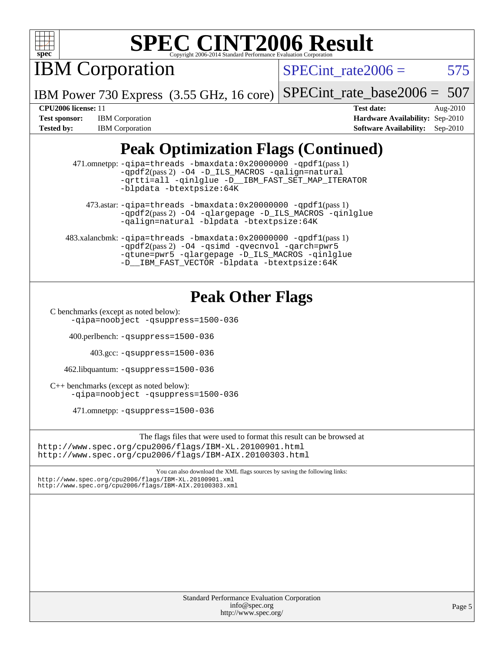

IBM Corporation

SPECint rate $2006 = 575$ 

IBM Power 730 Express (3.55 GHz, 16 core)

[SPECint\\_rate\\_base2006 =](http://www.spec.org/auto/cpu2006/Docs/result-fields.html#SPECintratebase2006) 507

**[Test sponsor:](http://www.spec.org/auto/cpu2006/Docs/result-fields.html#Testsponsor)** IBM Corporation **[Hardware Availability:](http://www.spec.org/auto/cpu2006/Docs/result-fields.html#HardwareAvailability)** Sep-2010 [Tested by:](http://www.spec.org/auto/cpu2006/Docs/result-fields.html#Testedby) IBM Corporation **[Software Availability:](http://www.spec.org/auto/cpu2006/Docs/result-fields.html#SoftwareAvailability)** Sep-2010

**[CPU2006 license:](http://www.spec.org/auto/cpu2006/Docs/result-fields.html#CPU2006license)** 11 **[Test date:](http://www.spec.org/auto/cpu2006/Docs/result-fields.html#Testdate)** Aug-2010

# **[Peak Optimization Flags \(Continued\)](http://www.spec.org/auto/cpu2006/Docs/result-fields.html#PeakOptimizationFlags)**

 471.omnetpp: [-qipa=threads](http://www.spec.org/cpu2006/results/res2010q3/cpu2006-20100817-12969.flags.html#user_peakLDCXXFLAGS471_omnetpp_F-qipa:threads_603896b7ba2615a272e7bb50a99fbe27) [-bmaxdata:0x20000000](http://www.spec.org/cpu2006/results/res2010q3/cpu2006-20100817-12969.flags.html#user_peakLDCXXFLAGS471_omnetpp_F-bmaxdata_d044a9072ff4d8b4577a1555c18c0756) [-qpdf1](http://www.spec.org/cpu2006/results/res2010q3/cpu2006-20100817-12969.flags.html#user_peakPASS1_CXXFLAGSPASS1_LDFLAGS471_omnetpp_F-qpdf1)(pass 1) [-qpdf2](http://www.spec.org/cpu2006/results/res2010q3/cpu2006-20100817-12969.flags.html#user_peakPASS2_CXXFLAGSPASS2_LDFLAGS471_omnetpp_F-qpdf2)(pass 2) [-O4](http://www.spec.org/cpu2006/results/res2010q3/cpu2006-20100817-12969.flags.html#user_peakOPTIMIZE471_omnetpp_F-O4_3f418155cbd5b07444f2de33eb26e195) [-D\\_ILS\\_MACROS](http://www.spec.org/cpu2006/results/res2010q3/cpu2006-20100817-12969.flags.html#user_peakCXXOPTIMIZE471_omnetpp_F-D_ILS_MACROS) [-qalign=natural](http://www.spec.org/cpu2006/results/res2010q3/cpu2006-20100817-12969.flags.html#user_peakCXXOPTIMIZE471_omnetpp_F-qalign_3ca7d9ddbda0cec4bfb6804fd18c32cc) [-qrtti=all](http://www.spec.org/cpu2006/results/res2010q3/cpu2006-20100817-12969.flags.html#user_peakCXXOPTIMIZE471_omnetpp_F-qrtti:all) [-qinlglue](http://www.spec.org/cpu2006/results/res2010q3/cpu2006-20100817-12969.flags.html#user_peakCXXOPTIMIZE471_omnetpp_F-qinlglue) [-D\\_\\_IBM\\_FAST\\_SET\\_MAP\\_ITERATOR](http://www.spec.org/cpu2006/results/res2010q3/cpu2006-20100817-12969.flags.html#user_peakCXXOPTIMIZE471_omnetpp_F-D__IBM_FAST_SET_MAP_ITERATOR) [-blpdata](http://www.spec.org/cpu2006/results/res2010q3/cpu2006-20100817-12969.flags.html#user_peakEXTRA_LDFLAGS471_omnetpp_F-blpdata) [-btextpsize:64K](http://www.spec.org/cpu2006/results/res2010q3/cpu2006-20100817-12969.flags.html#user_peakEXTRA_LDFLAGS471_omnetpp_F-btextpsize_915b2570bf0baabb03f1065583f9faaf)

 473.astar: [-qipa=threads](http://www.spec.org/cpu2006/results/res2010q3/cpu2006-20100817-12969.flags.html#user_peakLDCXXFLAGS473_astar_F-qipa:threads_603896b7ba2615a272e7bb50a99fbe27) [-bmaxdata:0x20000000](http://www.spec.org/cpu2006/results/res2010q3/cpu2006-20100817-12969.flags.html#user_peakLDCXXFLAGS473_astar_F-bmaxdata_d044a9072ff4d8b4577a1555c18c0756) [-qpdf1](http://www.spec.org/cpu2006/results/res2010q3/cpu2006-20100817-12969.flags.html#user_peakPASS1_LDFLAGS473_astar_F-qpdf1)(pass 1) [-qpdf2](http://www.spec.org/cpu2006/results/res2010q3/cpu2006-20100817-12969.flags.html#user_peakPASS2_LDFLAGS473_astar_F-qpdf2)(pass 2) [-O4](http://www.spec.org/cpu2006/results/res2010q3/cpu2006-20100817-12969.flags.html#user_peakOPTIMIZE473_astar_F-O4_3f418155cbd5b07444f2de33eb26e195) [-qlargepage](http://www.spec.org/cpu2006/results/res2010q3/cpu2006-20100817-12969.flags.html#user_peakOPTIMIZE473_astar_F-qlargepage) [-D\\_ILS\\_MACROS](http://www.spec.org/cpu2006/results/res2010q3/cpu2006-20100817-12969.flags.html#user_peakCXXOPTIMIZE473_astar_F-D_ILS_MACROS) [-qinlglue](http://www.spec.org/cpu2006/results/res2010q3/cpu2006-20100817-12969.flags.html#user_peakCXXOPTIMIZE473_astar_F-qinlglue) [-qalign=natural](http://www.spec.org/cpu2006/results/res2010q3/cpu2006-20100817-12969.flags.html#user_peakCXXOPTIMIZE473_astar_F-qalign_3ca7d9ddbda0cec4bfb6804fd18c32cc) [-blpdata](http://www.spec.org/cpu2006/results/res2010q3/cpu2006-20100817-12969.flags.html#user_peakEXTRA_LDFLAGS473_astar_F-blpdata) [-btextpsize:64K](http://www.spec.org/cpu2006/results/res2010q3/cpu2006-20100817-12969.flags.html#user_peakEXTRA_LDFLAGS473_astar_F-btextpsize_915b2570bf0baabb03f1065583f9faaf)

 483.xalancbmk: [-qipa=threads](http://www.spec.org/cpu2006/results/res2010q3/cpu2006-20100817-12969.flags.html#user_peakLDCXXFLAGS483_xalancbmk_F-qipa:threads_603896b7ba2615a272e7bb50a99fbe27) [-bmaxdata:0x20000000](http://www.spec.org/cpu2006/results/res2010q3/cpu2006-20100817-12969.flags.html#user_peakLDCXXFLAGS483_xalancbmk_F-bmaxdata_d044a9072ff4d8b4577a1555c18c0756) [-qpdf1](http://www.spec.org/cpu2006/results/res2010q3/cpu2006-20100817-12969.flags.html#user_peakPASS1_CXXFLAGSPASS1_LDFLAGS483_xalancbmk_F-qpdf1)(pass 1) [-qpdf2](http://www.spec.org/cpu2006/results/res2010q3/cpu2006-20100817-12969.flags.html#user_peakPASS2_CXXFLAGSPASS2_LDFLAGS483_xalancbmk_F-qpdf2)(pass 2) [-O4](http://www.spec.org/cpu2006/results/res2010q3/cpu2006-20100817-12969.flags.html#user_peakOPTIMIZE483_xalancbmk_F-O4_3f418155cbd5b07444f2de33eb26e195) [-qsimd](http://www.spec.org/cpu2006/results/res2010q3/cpu2006-20100817-12969.flags.html#user_peakOPTIMIZE483_xalancbmk_F-qsimd_a8e99c5325f711308b07d2b72634c9bd) [-qvecnvol](http://www.spec.org/cpu2006/results/res2010q3/cpu2006-20100817-12969.flags.html#user_peakOPTIMIZE483_xalancbmk_F-qvecnvol) [-qarch=pwr5](http://www.spec.org/cpu2006/results/res2010q3/cpu2006-20100817-12969.flags.html#user_peakOPTIMIZE483_xalancbmk_F-qarch_cdab548b0ce871c0726c2ca37e5b631a) [-qtune=pwr5](http://www.spec.org/cpu2006/results/res2010q3/cpu2006-20100817-12969.flags.html#user_peakOPTIMIZE483_xalancbmk_F-qtune_e1cd9d63947334d19effc56cd6defcb4) [-qlargepage](http://www.spec.org/cpu2006/results/res2010q3/cpu2006-20100817-12969.flags.html#user_peakOPTIMIZE483_xalancbmk_F-qlargepage) [-D\\_ILS\\_MACROS](http://www.spec.org/cpu2006/results/res2010q3/cpu2006-20100817-12969.flags.html#user_peakCXXOPTIMIZE483_xalancbmk_F-D_ILS_MACROS) [-qinlglue](http://www.spec.org/cpu2006/results/res2010q3/cpu2006-20100817-12969.flags.html#user_peakCXXOPTIMIZE483_xalancbmk_F-qinlglue) [-D\\_\\_IBM\\_FAST\\_VECTOR](http://www.spec.org/cpu2006/results/res2010q3/cpu2006-20100817-12969.flags.html#user_peakCXXOPTIMIZE483_xalancbmk_F-D__IBM_FAST_VECTOR) [-blpdata](http://www.spec.org/cpu2006/results/res2010q3/cpu2006-20100817-12969.flags.html#user_peakEXTRA_LDFLAGS483_xalancbmk_F-blpdata) [-btextpsize:64K](http://www.spec.org/cpu2006/results/res2010q3/cpu2006-20100817-12969.flags.html#user_peakEXTRA_LDFLAGS483_xalancbmk_F-btextpsize_915b2570bf0baabb03f1065583f9faaf)

# **[Peak Other Flags](http://www.spec.org/auto/cpu2006/Docs/result-fields.html#PeakOtherFlags)**

[C benchmarks \(except as noted below\)](http://www.spec.org/auto/cpu2006/Docs/result-fields.html#Cbenchmarksexceptasnotedbelow):

[-qipa=noobject](http://www.spec.org/cpu2006/results/res2010q3/cpu2006-20100817-12969.flags.html#user_CCpeak_F-qipa:noobject_31d1c31721dc68bbebcc4af4e4e5db81) [-qsuppress=1500-036](http://www.spec.org/cpu2006/results/res2010q3/cpu2006-20100817-12969.flags.html#user_CCpeak_F-qsuppress:_a26be8fef57dc56862d3797b725f60c7)

400.perlbench: [-qsuppress=1500-036](http://www.spec.org/cpu2006/results/res2010q3/cpu2006-20100817-12969.flags.html#user_peakEXTRA_LDFLAGS400_perlbench_F-qsuppress:_a26be8fef57dc56862d3797b725f60c7)

403.gcc: [-qsuppress=1500-036](http://www.spec.org/cpu2006/results/res2010q3/cpu2006-20100817-12969.flags.html#user_peakEXTRA_LDFLAGS403_gcc_F-qsuppress:_a26be8fef57dc56862d3797b725f60c7)

462.libquantum: [-qsuppress=1500-036](http://www.spec.org/cpu2006/results/res2010q3/cpu2006-20100817-12969.flags.html#user_peakEXTRA_LDFLAGS462_libquantum_F-qsuppress:_a26be8fef57dc56862d3797b725f60c7)

[C++ benchmarks \(except as noted below\):](http://www.spec.org/auto/cpu2006/Docs/result-fields.html#CXXbenchmarksexceptasnotedbelow) [-qipa=noobject](http://www.spec.org/cpu2006/results/res2010q3/cpu2006-20100817-12969.flags.html#user_CXXpeak_F-qipa:noobject_31d1c31721dc68bbebcc4af4e4e5db81) [-qsuppress=1500-036](http://www.spec.org/cpu2006/results/res2010q3/cpu2006-20100817-12969.flags.html#user_CXXpeak_F-qsuppress:_a26be8fef57dc56862d3797b725f60c7)

471.omnetpp: [-qsuppress=1500-036](http://www.spec.org/cpu2006/results/res2010q3/cpu2006-20100817-12969.flags.html#user_peakEXTRA_LDFLAGS471_omnetpp_F-qsuppress:_a26be8fef57dc56862d3797b725f60c7)

The flags files that were used to format this result can be browsed at <http://www.spec.org/cpu2006/flags/IBM-XL.20100901.html> <http://www.spec.org/cpu2006/flags/IBM-AIX.20100303.html>

You can also download the XML flags sources by saving the following links:

<http://www.spec.org/cpu2006/flags/IBM-XL.20100901.xml> <http://www.spec.org/cpu2006/flags/IBM-AIX.20100303.xml>